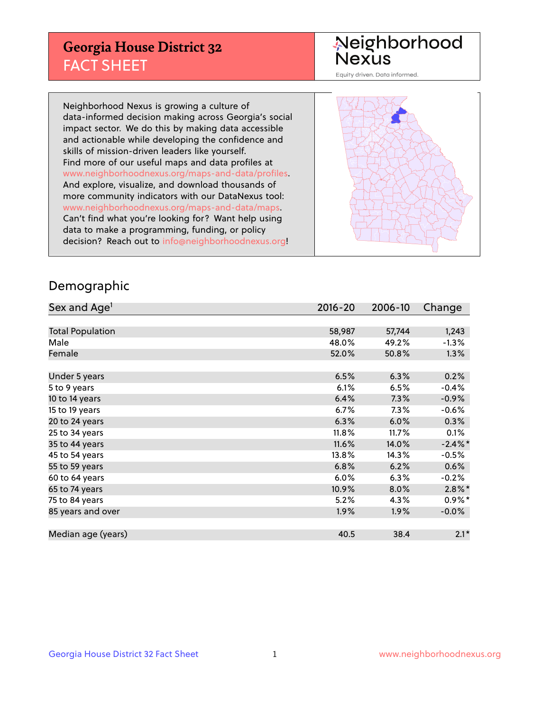## **Georgia House District 32** FACT SHEET

# Neighborhood<br>Nexus

Equity driven. Data informed.

Neighborhood Nexus is growing a culture of data-informed decision making across Georgia's social impact sector. We do this by making data accessible and actionable while developing the confidence and skills of mission-driven leaders like yourself. Find more of our useful maps and data profiles at www.neighborhoodnexus.org/maps-and-data/profiles. And explore, visualize, and download thousands of more community indicators with our DataNexus tool: www.neighborhoodnexus.org/maps-and-data/maps. Can't find what you're looking for? Want help using data to make a programming, funding, or policy decision? Reach out to [info@neighborhoodnexus.org!](mailto:info@neighborhoodnexus.org)



### Demographic

| Sex and Age <sup>1</sup> | $2016 - 20$ | 2006-10 | Change     |
|--------------------------|-------------|---------|------------|
|                          |             |         |            |
| <b>Total Population</b>  | 58,987      | 57,744  | 1,243      |
| Male                     | 48.0%       | 49.2%   | $-1.3%$    |
| Female                   | 52.0%       | 50.8%   | 1.3%       |
|                          |             |         |            |
| Under 5 years            | 6.5%        | 6.3%    | 0.2%       |
| 5 to 9 years             | 6.1%        | 6.5%    | $-0.4%$    |
| 10 to 14 years           | 6.4%        | 7.3%    | $-0.9%$    |
| 15 to 19 years           | 6.7%        | 7.3%    | $-0.6%$    |
| 20 to 24 years           | 6.3%        | 6.0%    | 0.3%       |
| 25 to 34 years           | 11.8%       | 11.7%   | 0.1%       |
| 35 to 44 years           | 11.6%       | 14.0%   | $-2.4\%$ * |
| 45 to 54 years           | 13.8%       | 14.3%   | $-0.5%$    |
| 55 to 59 years           | 6.8%        | 6.2%    | 0.6%       |
| 60 to 64 years           | 6.0%        | 6.3%    | $-0.2%$    |
| 65 to 74 years           | 10.9%       | 8.0%    | $2.8\%$ *  |
| 75 to 84 years           | 5.2%        | 4.3%    | $0.9\%*$   |
| 85 years and over        | 1.9%        | 1.9%    | $-0.0%$    |
|                          |             |         |            |
| Median age (years)       | 40.5        | 38.4    | $2.1*$     |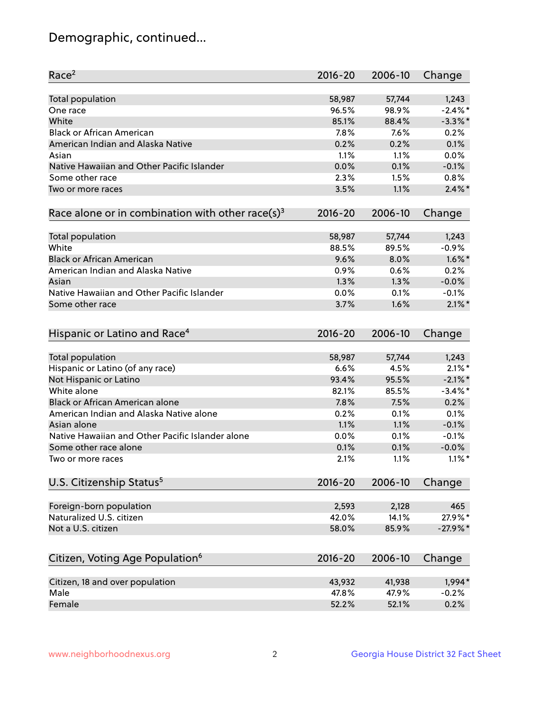## Demographic, continued...

| Race <sup>2</sup>                                            | $2016 - 20$ | 2006-10 | Change     |
|--------------------------------------------------------------|-------------|---------|------------|
| <b>Total population</b>                                      | 58,987      | 57,744  | 1,243      |
| One race                                                     | 96.5%       | 98.9%   | $-2.4\%$ * |
| White                                                        | 85.1%       | 88.4%   | $-3.3\%$ * |
| <b>Black or African American</b>                             | 7.8%        | 7.6%    | 0.2%       |
| American Indian and Alaska Native                            | 0.2%        | 0.2%    | 0.1%       |
| Asian                                                        | 1.1%        | 1.1%    | 0.0%       |
| Native Hawaiian and Other Pacific Islander                   | 0.0%        | 0.1%    | $-0.1%$    |
| Some other race                                              | 2.3%        | 1.5%    | 0.8%       |
| Two or more races                                            | 3.5%        | 1.1%    | $2.4\%$ *  |
| Race alone or in combination with other race(s) <sup>3</sup> | $2016 - 20$ | 2006-10 | Change     |
| Total population                                             | 58,987      | 57,744  | 1,243      |
| White                                                        | 88.5%       | 89.5%   | $-0.9%$    |
| <b>Black or African American</b>                             | 9.6%        | 8.0%    | $1.6\%$ *  |
| American Indian and Alaska Native                            | 0.9%        | 0.6%    | 0.2%       |
| Asian                                                        | 1.3%        | 1.3%    | $-0.0%$    |
| Native Hawaiian and Other Pacific Islander                   | 0.0%        | 0.1%    | $-0.1%$    |
| Some other race                                              | 3.7%        | 1.6%    | $2.1\%$ *  |
| Hispanic or Latino and Race <sup>4</sup>                     | $2016 - 20$ | 2006-10 | Change     |
| Total population                                             | 58,987      | 57,744  | 1,243      |
| Hispanic or Latino (of any race)                             | 6.6%        | 4.5%    | $2.1\%$ *  |
| Not Hispanic or Latino                                       | 93.4%       | 95.5%   | $-2.1\%$ * |
| White alone                                                  | 82.1%       | 85.5%   | $-3.4\%$ * |
| Black or African American alone                              | 7.8%        | 7.5%    | 0.2%       |
| American Indian and Alaska Native alone                      | 0.2%        | 0.1%    | 0.1%       |
| Asian alone                                                  | 1.1%        | 1.1%    | $-0.1%$    |
| Native Hawaiian and Other Pacific Islander alone             | 0.0%        | 0.1%    | $-0.1%$    |
| Some other race alone                                        | 0.1%        | 0.1%    | $-0.0%$    |
| Two or more races                                            | 2.1%        | 1.1%    | $1.1\%$ *  |
| U.S. Citizenship Status <sup>5</sup>                         | $2016 - 20$ | 2006-10 | Change     |
| Foreign-born population                                      | 2,593       | 2,128   | 465        |
| Naturalized U.S. citizen                                     | 42.0%       | 14.1%   | 27.9%*     |
| Not a U.S. citizen                                           | 58.0%       | 85.9%   | $-27.9%$ * |
|                                                              |             |         |            |
| Citizen, Voting Age Population <sup>6</sup>                  | $2016 - 20$ | 2006-10 | Change     |
| Citizen, 18 and over population                              | 43,932      | 41,938  | 1,994*     |
| Male                                                         | 47.8%       | 47.9%   | $-0.2%$    |
| Female                                                       | 52.2%       | 52.1%   | 0.2%       |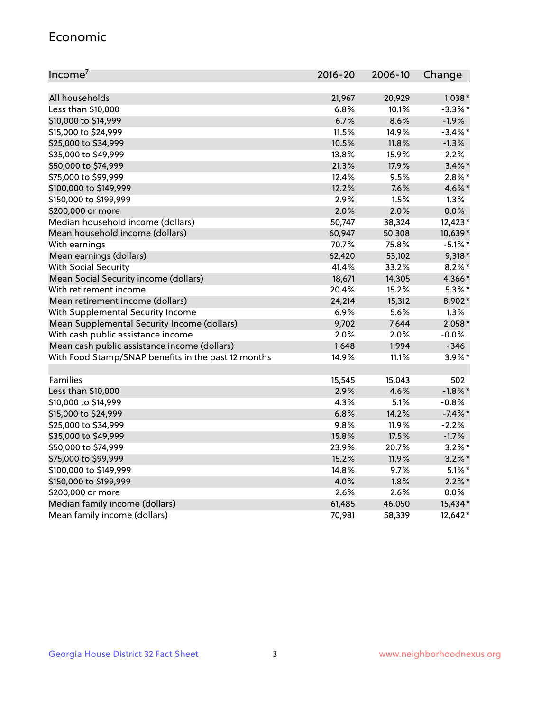#### Economic

| Income <sup>7</sup>                                 | $2016 - 20$ | 2006-10 | Change     |
|-----------------------------------------------------|-------------|---------|------------|
|                                                     |             |         |            |
| All households                                      | 21,967      | 20,929  | $1,038*$   |
| Less than \$10,000                                  | 6.8%        | 10.1%   | $-3.3\%$ * |
| \$10,000 to \$14,999                                | 6.7%        | 8.6%    | $-1.9%$    |
| \$15,000 to \$24,999                                | 11.5%       | 14.9%   | $-3.4\%$ * |
| \$25,000 to \$34,999                                | 10.5%       | 11.8%   | $-1.3%$    |
| \$35,000 to \$49,999                                | 13.8%       | 15.9%   | $-2.2%$    |
| \$50,000 to \$74,999                                | 21.3%       | 17.9%   | $3.4\%$ *  |
| \$75,000 to \$99,999                                | 12.4%       | 9.5%    | $2.8\%$ *  |
| \$100,000 to \$149,999                              | 12.2%       | 7.6%    | 4.6%*      |
| \$150,000 to \$199,999                              | 2.9%        | 1.5%    | 1.3%       |
| \$200,000 or more                                   | 2.0%        | 2.0%    | 0.0%       |
| Median household income (dollars)                   | 50,747      | 38,324  | 12,423*    |
| Mean household income (dollars)                     | 60,947      | 50,308  | 10,639*    |
| With earnings                                       | 70.7%       | 75.8%   | $-5.1\%$ * |
| Mean earnings (dollars)                             | 62,420      | 53,102  | $9,318*$   |
| <b>With Social Security</b>                         | 41.4%       | 33.2%   | $8.2\%$ *  |
| Mean Social Security income (dollars)               | 18,671      | 14,305  | 4,366*     |
| With retirement income                              | 20.4%       | 15.2%   | $5.3\%$ *  |
| Mean retirement income (dollars)                    | 24,214      | 15,312  | 8,902*     |
| With Supplemental Security Income                   | 6.9%        | 5.6%    | 1.3%       |
| Mean Supplemental Security Income (dollars)         | 9,702       | 7,644   | $2,058*$   |
| With cash public assistance income                  | 2.0%        | 2.0%    | $-0.0%$    |
| Mean cash public assistance income (dollars)        | 1,648       | 1,994   | $-346$     |
| With Food Stamp/SNAP benefits in the past 12 months | 14.9%       | 11.1%   | $3.9\%$ *  |
|                                                     |             |         |            |
| Families                                            | 15,545      | 15,043  | 502        |
| Less than \$10,000                                  | 2.9%        | 4.6%    | $-1.8\%$ * |
| \$10,000 to \$14,999                                | 4.3%        | 5.1%    | $-0.8%$    |
| \$15,000 to \$24,999                                | 6.8%        | 14.2%   | $-7.4\%$ * |
| \$25,000 to \$34,999                                | 9.8%        | 11.9%   | $-2.2%$    |
| \$35,000 to \$49,999                                | 15.8%       | 17.5%   | $-1.7%$    |
| \$50,000 to \$74,999                                | 23.9%       | 20.7%   | $3.2\%$ *  |
| \$75,000 to \$99,999                                | 15.2%       | 11.9%   | $3.2\%$ *  |
| \$100,000 to \$149,999                              | 14.8%       | 9.7%    | $5.1\%$ *  |
| \$150,000 to \$199,999                              | 4.0%        | 1.8%    | $2.2\%$ *  |
| \$200,000 or more                                   | 2.6%        | 2.6%    | 0.0%       |
| Median family income (dollars)                      | 61,485      | 46,050  | 15,434*    |
| Mean family income (dollars)                        | 70,981      | 58,339  | 12,642*    |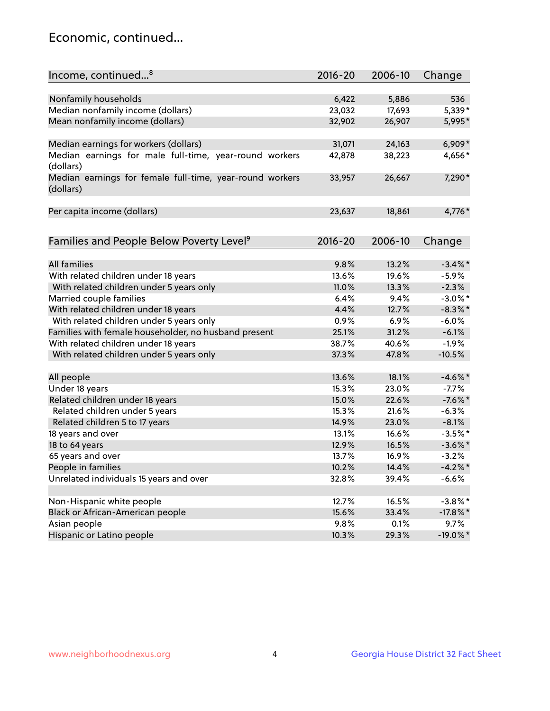## Economic, continued...

| Income, continued <sup>8</sup>                           | $2016 - 20$ | 2006-10 | Change      |
|----------------------------------------------------------|-------------|---------|-------------|
|                                                          |             |         |             |
| Nonfamily households                                     | 6,422       | 5,886   | 536         |
| Median nonfamily income (dollars)                        | 23,032      | 17,693  | 5,339*      |
| Mean nonfamily income (dollars)                          | 32,902      | 26,907  | 5,995*      |
|                                                          |             |         |             |
| Median earnings for workers (dollars)                    | 31,071      | 24,163  | $6,909*$    |
| Median earnings for male full-time, year-round workers   | 42,878      | 38,223  | 4,656*      |
| (dollars)                                                |             |         |             |
| Median earnings for female full-time, year-round workers | 33,957      | 26,667  | 7,290*      |
| (dollars)                                                |             |         |             |
|                                                          |             |         |             |
| Per capita income (dollars)                              | 23,637      | 18,861  | 4,776*      |
|                                                          |             |         |             |
| Families and People Below Poverty Level <sup>9</sup>     | $2016 - 20$ | 2006-10 | Change      |
|                                                          |             |         |             |
| <b>All families</b>                                      | 9.8%        | 13.2%   | $-3.4\%$ *  |
| With related children under 18 years                     | 13.6%       | 19.6%   | $-5.9%$     |
| With related children under 5 years only                 | 11.0%       | 13.3%   | $-2.3%$     |
| Married couple families                                  | 6.4%        | 9.4%    | $-3.0\%$ *  |
| With related children under 18 years                     | 4.4%        | 12.7%   | $-8.3\%$ *  |
| With related children under 5 years only                 | 0.9%        | 6.9%    | $-6.0%$     |
| Families with female householder, no husband present     | 25.1%       | 31.2%   | $-6.1%$     |
| With related children under 18 years                     | 38.7%       | 40.6%   | $-1.9\%$    |
| With related children under 5 years only                 | 37.3%       | 47.8%   | $-10.5%$    |
|                                                          |             |         |             |
| All people                                               | 13.6%       | 18.1%   | $-4.6\%$ *  |
| Under 18 years                                           | 15.3%       | 23.0%   | $-7.7%$     |
| Related children under 18 years                          | 15.0%       | 22.6%   | $-7.6%$ *   |
| Related children under 5 years                           | 15.3%       | 21.6%   | $-6.3%$     |
| Related children 5 to 17 years                           | 14.9%       | 23.0%   | $-8.1%$     |
| 18 years and over                                        | 13.1%       | 16.6%   | $-3.5%$ *   |
| 18 to 64 years                                           | 12.9%       | 16.5%   | $-3.6\%$ *  |
| 65 years and over                                        | 13.7%       | 16.9%   | $-3.2%$     |
| People in families                                       | 10.2%       | 14.4%   | $-4.2%$     |
| Unrelated individuals 15 years and over                  | 32.8%       | 39.4%   | $-6.6%$     |
|                                                          |             |         |             |
| Non-Hispanic white people                                | 12.7%       | 16.5%   | $-3.8\%$ *  |
| Black or African-American people                         | 15.6%       | 33.4%   | $-17.8\%$ * |
| Asian people                                             | 9.8%        | 0.1%    | 9.7%        |
| Hispanic or Latino people                                | 10.3%       | 29.3%   | $-19.0\%$ * |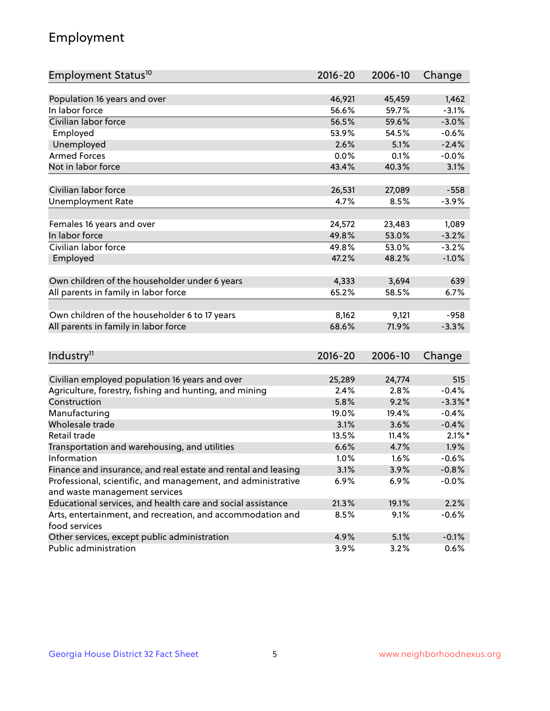## Employment

| Employment Status <sup>10</sup>                                             | $2016 - 20$     | 2006-10         | Change           |
|-----------------------------------------------------------------------------|-----------------|-----------------|------------------|
|                                                                             |                 |                 |                  |
| Population 16 years and over                                                | 46,921          | 45,459          | 1,462            |
| In labor force                                                              | 56.6%           | 59.7%           | $-3.1%$          |
| Civilian labor force                                                        | 56.5%           | 59.6%           | $-3.0%$          |
| Employed                                                                    | 53.9%           | 54.5%           | $-0.6%$          |
| Unemployed                                                                  | 2.6%            | 5.1%            | $-2.4%$          |
| <b>Armed Forces</b>                                                         | 0.0%            | 0.1%            | $-0.0%$          |
| Not in labor force                                                          | 43.4%           | 40.3%           | 3.1%             |
|                                                                             |                 |                 |                  |
| Civilian labor force                                                        | 26,531          | 27,089          | $-558$           |
| <b>Unemployment Rate</b>                                                    | 4.7%            | 8.5%            | $-3.9%$          |
|                                                                             |                 |                 |                  |
| Females 16 years and over<br>In labor force                                 | 24,572<br>49.8% | 23,483<br>53.0% | 1,089<br>$-3.2%$ |
| Civilian labor force                                                        |                 |                 |                  |
|                                                                             | 49.8%<br>47.2%  | 53.0%           | $-3.2%$          |
| Employed                                                                    |                 | 48.2%           | $-1.0%$          |
| Own children of the householder under 6 years                               | 4,333           | 3,694           | 639              |
| All parents in family in labor force                                        | 65.2%           | 58.5%           | 6.7%             |
|                                                                             |                 |                 |                  |
| Own children of the householder 6 to 17 years                               | 8,162           | 9,121           | $-958$           |
| All parents in family in labor force                                        | 68.6%           | 71.9%           | $-3.3%$          |
|                                                                             |                 |                 |                  |
| Industry <sup>11</sup>                                                      | $2016 - 20$     | 2006-10         | Change           |
|                                                                             |                 |                 |                  |
| Civilian employed population 16 years and over                              | 25,289          | 24,774          | 515              |
| Agriculture, forestry, fishing and hunting, and mining                      | 2.4%            | 2.8%            | $-0.4%$          |
| Construction                                                                | 5.8%            | 9.2%            | $-3.3\%$ *       |
| Manufacturing                                                               | 19.0%           | 19.4%           | $-0.4%$          |
| Wholesale trade                                                             | 3.1%            | 3.6%            | $-0.4%$          |
| Retail trade                                                                | 13.5%           | 11.4%           | $2.1\%$ *        |
| Transportation and warehousing, and utilities                               | 6.6%            | 4.7%            | 1.9%             |
| Information                                                                 | 1.0%            | 1.6%            | $-0.6%$          |
| Finance and insurance, and real estate and rental and leasing               | 3.1%            | 3.9%            | $-0.8%$          |
| Professional, scientific, and management, and administrative                | 6.9%            | 6.9%            | $-0.0%$          |
| and waste management services                                               |                 |                 |                  |
| Educational services, and health care and social assistance                 | 21.3%           | 19.1%           | 2.2%             |
| Arts, entertainment, and recreation, and accommodation and<br>food services | 8.5%            | 9.1%            | $-0.6%$          |
| Other services, except public administration                                | 4.9%            | 5.1%            | $-0.1%$          |
| Public administration                                                       | 3.9%            | 3.2%            | 0.6%             |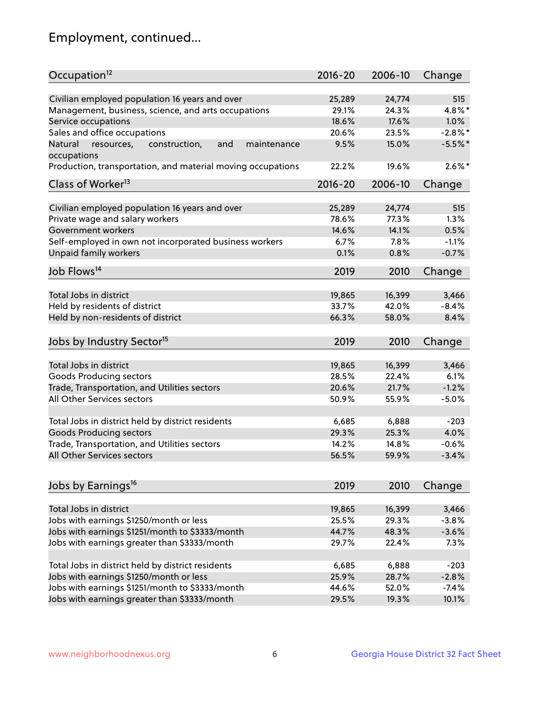## Employment, continued...

| Occupation <sup>12</sup>                                                    | $2016 - 20$ | 2006-10 | Change     |
|-----------------------------------------------------------------------------|-------------|---------|------------|
| Civilian employed population 16 years and over                              | 25,289      | 24,774  | 515        |
|                                                                             | 29.1%       | 24.3%   | $4.8\%$ *  |
| Management, business, science, and arts occupations<br>Service occupations  | 18.6%       | 17.6%   | 1.0%       |
|                                                                             |             |         |            |
| Sales and office occupations                                                | 20.6%       | 23.5%   | $-2.8\%$ * |
| Natural<br>and<br>resources,<br>construction,<br>maintenance<br>occupations | 9.5%        | 15.0%   | $-5.5%$    |
| Production, transportation, and material moving occupations                 | 22.2%       | 19.6%   | $2.6\%$ *  |
| Class of Worker <sup>13</sup>                                               | 2016-20     | 2006-10 | Change     |
|                                                                             |             |         |            |
| Civilian employed population 16 years and over                              | 25,289      | 24,774  | 515        |
| Private wage and salary workers                                             | 78.6%       | 77.3%   | 1.3%       |
| Government workers                                                          | 14.6%       | 14.1%   | 0.5%       |
| Self-employed in own not incorporated business workers                      | 6.7%        | 7.8%    | $-1.1%$    |
| Unpaid family workers                                                       | 0.1%        | 0.8%    | $-0.7%$    |
| Job Flows <sup>14</sup>                                                     | 2019        | 2010    | Change     |
|                                                                             |             |         |            |
| Total Jobs in district                                                      | 19,865      | 16,399  | 3,466      |
| Held by residents of district                                               | 33.7%       | 42.0%   | $-8.4%$    |
| Held by non-residents of district                                           | 66.3%       | 58.0%   | 8.4%       |
| Jobs by Industry Sector <sup>15</sup>                                       | 2019        | 2010    |            |
|                                                                             |             |         | Change     |
| Total Jobs in district                                                      | 19,865      | 16,399  | 3,466      |
| Goods Producing sectors                                                     | 28.5%       | 22.4%   | 6.1%       |
| Trade, Transportation, and Utilities sectors                                | 20.6%       | 21.7%   | $-1.2%$    |
| All Other Services sectors                                                  | 50.9%       | 55.9%   | $-5.0%$    |
|                                                                             |             |         |            |
| Total Jobs in district held by district residents                           | 6,685       | 6,888   | $-203$     |
| <b>Goods Producing sectors</b>                                              | 29.3%       | 25.3%   | 4.0%       |
| Trade, Transportation, and Utilities sectors                                | 14.2%       | 14.8%   | $-0.6%$    |
| All Other Services sectors                                                  | 56.5%       | 59.9%   | $-3.4%$    |
|                                                                             |             |         |            |
| Jobs by Earnings <sup>16</sup>                                              | 2019        | 2010    | Change     |
|                                                                             |             |         |            |
| Total Jobs in district                                                      | 19,865      | 16,399  | 3,466      |
| Jobs with earnings \$1250/month or less                                     | 25.5%       | 29.3%   | $-3.8%$    |
| Jobs with earnings \$1251/month to \$3333/month                             | 44.7%       | 48.3%   | $-3.6%$    |
| Jobs with earnings greater than \$3333/month                                | 29.7%       | 22.4%   | 7.3%       |
|                                                                             |             |         |            |
| Total Jobs in district held by district residents                           | 6,685       | 6,888   | $-203$     |
| Jobs with earnings \$1250/month or less                                     | 25.9%       | 28.7%   | $-2.8%$    |
| Jobs with earnings \$1251/month to \$3333/month                             | 44.6%       | 52.0%   | $-7.4%$    |
| Jobs with earnings greater than \$3333/month                                | 29.5%       | 19.3%   | 10.1%      |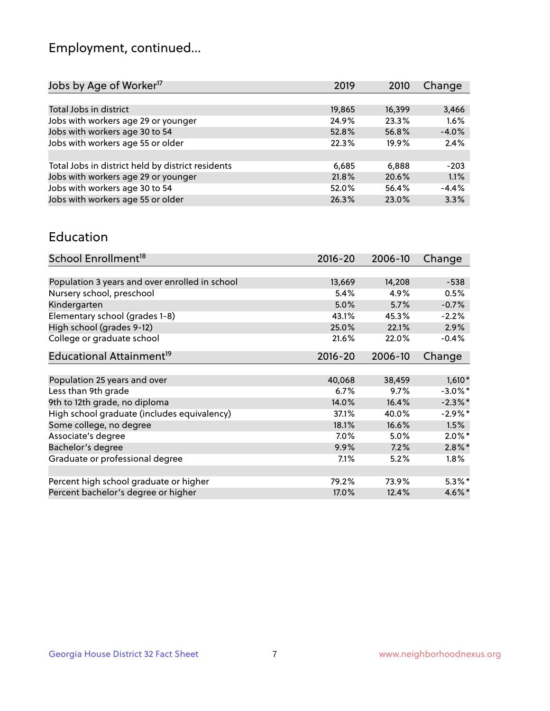## Employment, continued...

| 2019   | 2010   | Change  |
|--------|--------|---------|
|        |        |         |
| 19,865 | 16,399 | 3,466   |
| 24.9%  | 23.3%  | 1.6%    |
| 52.8%  | 56.8%  | $-4.0%$ |
| 22.3%  | 19.9%  | 2.4%    |
|        |        |         |
| 6,685  | 6.888  | $-203$  |
| 21.8%  | 20.6%  | 1.1%    |
| 52.0%  | 56.4%  | $-4.4%$ |
| 26.3%  | 23.0%  | 3.3%    |
|        |        |         |

#### Education

| School Enrollment <sup>18</sup>                | $2016 - 20$ | 2006-10 | Change     |
|------------------------------------------------|-------------|---------|------------|
|                                                |             |         |            |
| Population 3 years and over enrolled in school | 13,669      | 14,208  | $-538$     |
| Nursery school, preschool                      | 5.4%        | 4.9%    | 0.5%       |
| Kindergarten                                   | 5.0%        | 5.7%    | $-0.7%$    |
| Elementary school (grades 1-8)                 | 43.1%       | 45.3%   | $-2.2%$    |
| High school (grades 9-12)                      | 25.0%       | 22.1%   | 2.9%       |
| College or graduate school                     | 21.6%       | 22.0%   | $-0.4%$    |
| Educational Attainment <sup>19</sup>           | $2016 - 20$ | 2006-10 | Change     |
|                                                |             |         |            |
| Population 25 years and over                   | 40,068      | 38,459  | $1,610*$   |
| Less than 9th grade                            | 6.7%        | 9.7%    | $-3.0\%$ * |
| 9th to 12th grade, no diploma                  | 14.0%       | 16.4%   | $-2.3\%$ * |
| High school graduate (includes equivalency)    | 37.1%       | 40.0%   | $-2.9\%*$  |
| Some college, no degree                        | 18.1%       | 16.6%   | 1.5%       |
| Associate's degree                             | 7.0%        | 5.0%    | $2.0\%$ *  |
| Bachelor's degree                              | 9.9%        | 7.2%    | $2.8\%$ *  |
| Graduate or professional degree                | 7.1%        | 5.2%    | $1.8\%$    |
|                                                |             |         |            |
| Percent high school graduate or higher         | 79.2%       | 73.9%   | $5.3\%*$   |
| Percent bachelor's degree or higher            | 17.0%       | 12.4%   | 4.6%*      |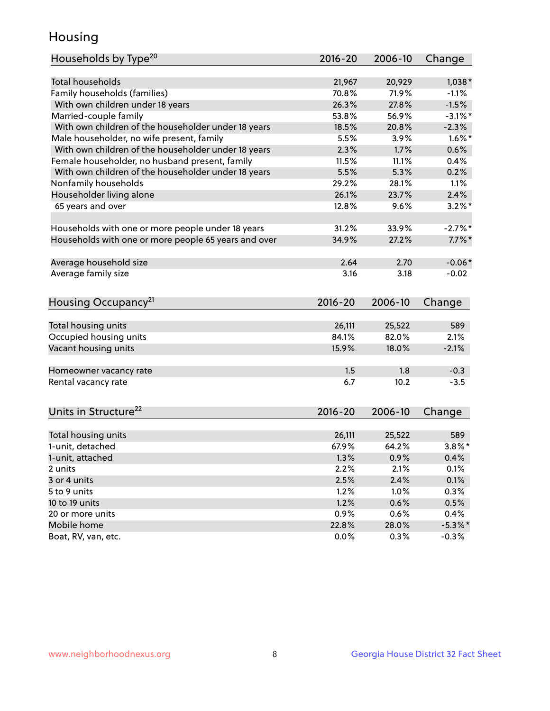## Housing

| <b>Total households</b><br>21,967<br>$1,038*$<br>20,929<br>Family households (families)<br>70.8%<br>71.9%<br>$-1.1%$<br>26.3%<br>27.8%<br>$-1.5%$<br>With own children under 18 years |
|---------------------------------------------------------------------------------------------------------------------------------------------------------------------------------------|
|                                                                                                                                                                                       |
|                                                                                                                                                                                       |
|                                                                                                                                                                                       |
|                                                                                                                                                                                       |
| Married-couple family<br>53.8%<br>56.9%<br>$-3.1\%$ *                                                                                                                                 |
| With own children of the householder under 18 years<br>18.5%<br>20.8%<br>$-2.3%$                                                                                                      |
| $1.6\%$ *<br>Male householder, no wife present, family<br>5.5%<br>3.9%                                                                                                                |
| With own children of the householder under 18 years<br>0.6%<br>2.3%<br>1.7%                                                                                                           |
| Female householder, no husband present, family<br>11.5%<br>11.1%<br>0.4%                                                                                                              |
| With own children of the householder under 18 years<br>5.5%<br>5.3%<br>0.2%                                                                                                           |
| Nonfamily households<br>29.2%<br>28.1%<br>1.1%                                                                                                                                        |
| Householder living alone<br>26.1%<br>23.7%<br>2.4%                                                                                                                                    |
| 12.8%<br>9.6%<br>$3.2\%$ *<br>65 years and over                                                                                                                                       |
|                                                                                                                                                                                       |
| $-2.7\%$<br>Households with one or more people under 18 years<br>31.2%<br>33.9%                                                                                                       |
| Households with one or more people 65 years and over<br>34.9%<br>27.2%<br>$7.7\%$ *                                                                                                   |
|                                                                                                                                                                                       |
| $-0.06*$<br>Average household size<br>2.64<br>2.70                                                                                                                                    |
| Average family size<br>3.16<br>3.18<br>$-0.02$                                                                                                                                        |
|                                                                                                                                                                                       |
| Housing Occupancy <sup>21</sup><br>$2016 - 20$<br>2006-10<br>Change                                                                                                                   |
|                                                                                                                                                                                       |
| Total housing units<br>26,111<br>589<br>25,522                                                                                                                                        |
| Occupied housing units<br>84.1%<br>82.0%<br>2.1%                                                                                                                                      |
| Vacant housing units<br>$-2.1%$<br>15.9%<br>18.0%                                                                                                                                     |
|                                                                                                                                                                                       |
| 1.5<br>1.8<br>$-0.3$<br>Homeowner vacancy rate                                                                                                                                        |
| Rental vacancy rate<br>6.7<br>10.2<br>$-3.5$                                                                                                                                          |
|                                                                                                                                                                                       |
| Units in Structure <sup>22</sup><br>$2016 - 20$<br>2006-10<br>Change                                                                                                                  |
|                                                                                                                                                                                       |
| Total housing units<br>26,111<br>25,522<br>589                                                                                                                                        |
| $3.8\%$ *<br>1-unit, detached<br>67.9%<br>64.2%                                                                                                                                       |
| 1.3%<br>0.9%<br>0.4%<br>1-unit, attached                                                                                                                                              |
| 2.2%<br>2.1%<br>0.1%<br>2 units                                                                                                                                                       |
| 2.4%<br>0.1%<br>3 or 4 units<br>2.5%                                                                                                                                                  |
| 1.2%<br>0.3%<br>5 to 9 units<br>1.0%                                                                                                                                                  |
| 1.2%<br>10 to 19 units<br>0.6%<br>0.5%                                                                                                                                                |
| 20 or more units<br>0.9%<br>0.4%<br>0.6%                                                                                                                                              |
| Mobile home<br>22.8%<br>28.0%<br>$-5.3\%$ *                                                                                                                                           |
| Boat, RV, van, etc.<br>0.0%<br>0.3%<br>$-0.3%$                                                                                                                                        |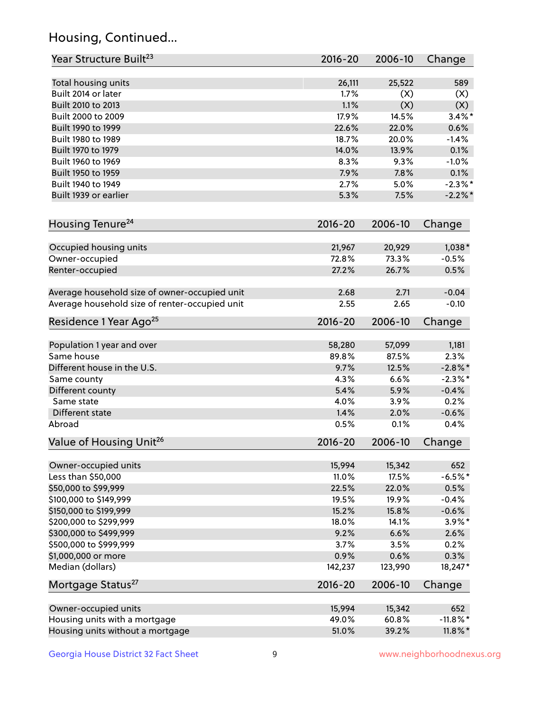## Housing, Continued...

| Year Structure Built <sup>23</sup>             | 2016-20     | 2006-10 | Change      |
|------------------------------------------------|-------------|---------|-------------|
| Total housing units                            | 26,111      | 25,522  | 589         |
| Built 2014 or later                            | 1.7%        | (X)     | (X)         |
| Built 2010 to 2013                             | 1.1%        | (X)     | (X)         |
| Built 2000 to 2009                             | 17.9%       | 14.5%   | $3.4\%$ *   |
| Built 1990 to 1999                             | 22.6%       | 22.0%   | 0.6%        |
| Built 1980 to 1989                             | 18.7%       | 20.0%   | $-1.4%$     |
| Built 1970 to 1979                             | 14.0%       | 13.9%   | 0.1%        |
| Built 1960 to 1969                             | 8.3%        | 9.3%    | $-1.0%$     |
| Built 1950 to 1959                             | 7.9%        | 7.8%    | 0.1%        |
| Built 1940 to 1949                             | 2.7%        | 5.0%    | $-2.3%$ *   |
| Built 1939 or earlier                          | 5.3%        | 7.5%    | $-2.2\%$ *  |
| Housing Tenure <sup>24</sup>                   | $2016 - 20$ | 2006-10 | Change      |
|                                                |             |         |             |
| Occupied housing units                         | 21,967      | 20,929  | $1,038*$    |
| Owner-occupied                                 | 72.8%       | 73.3%   | $-0.5%$     |
| Renter-occupied                                | 27.2%       | 26.7%   | 0.5%        |
| Average household size of owner-occupied unit  | 2.68        | 2.71    | $-0.04$     |
| Average household size of renter-occupied unit | 2.55        | 2.65    | $-0.10$     |
| Residence 1 Year Ago <sup>25</sup>             | 2016-20     | 2006-10 | Change      |
| Population 1 year and over                     | 58,280      | 57,099  | 1,181       |
| Same house                                     | 89.8%       | 87.5%   | 2.3%        |
| Different house in the U.S.                    | 9.7%        | 12.5%   | $-2.8\%$ *  |
| Same county                                    | 4.3%        | 6.6%    | $-2.3\%$ *  |
| Different county                               | 5.4%        | 5.9%    | $-0.4%$     |
| Same state                                     | 4.0%        | 3.9%    | 0.2%        |
| Different state                                | 1.4%        | 2.0%    | $-0.6%$     |
| Abroad                                         | 0.5%        | 0.1%    | 0.4%        |
| Value of Housing Unit <sup>26</sup>            | $2016 - 20$ | 2006-10 | Change      |
|                                                |             |         |             |
| Owner-occupied units                           | 15,994      | 15,342  | 652         |
| Less than \$50,000                             | 11.0%       | 17.5%   | $-6.5%$ *   |
| \$50,000 to \$99,999                           | 22.5%       | 22.0%   | 0.5%        |
| \$100,000 to \$149,999                         | 19.5%       | 19.9%   | $-0.4%$     |
| \$150,000 to \$199,999                         | 15.2%       | 15.8%   | $-0.6%$     |
| \$200,000 to \$299,999                         | 18.0%       | 14.1%   | $3.9\%$ *   |
| \$300,000 to \$499,999                         | 9.2%        | 6.6%    | 2.6%        |
| \$500,000 to \$999,999                         | 3.7%        | 3.5%    | 0.2%        |
| \$1,000,000 or more                            | 0.9%        | 0.6%    | 0.3%        |
| Median (dollars)                               | 142,237     | 123,990 | 18,247*     |
| Mortgage Status <sup>27</sup>                  | $2016 - 20$ | 2006-10 | Change      |
| Owner-occupied units                           | 15,994      | 15,342  | 652         |
| Housing units with a mortgage                  | 49.0%       | 60.8%   | $-11.8\%$ * |
| Housing units without a mortgage               | 51.0%       | 39.2%   | $11.8\%$ *  |
|                                                |             |         |             |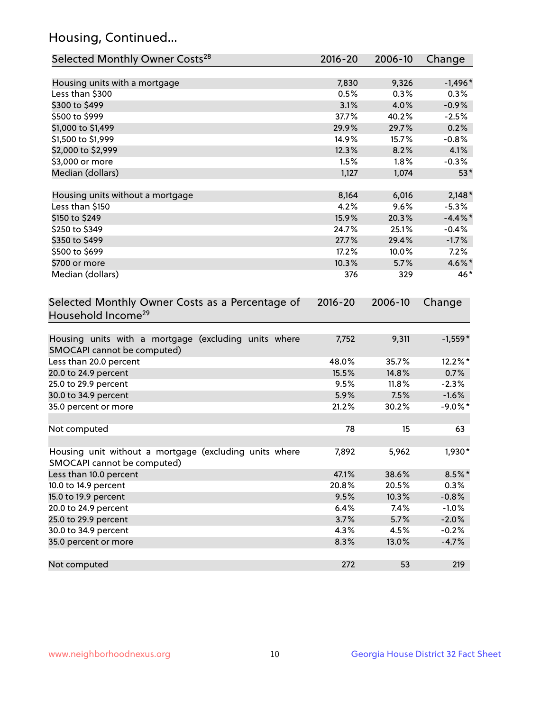## Housing, Continued...

| Selected Monthly Owner Costs <sup>28</sup>                                            | 2016-20 | 2006-10 | Change     |
|---------------------------------------------------------------------------------------|---------|---------|------------|
| Housing units with a mortgage                                                         | 7,830   | 9,326   | $-1,496*$  |
| Less than \$300                                                                       | 0.5%    | 0.3%    | 0.3%       |
| \$300 to \$499                                                                        | 3.1%    | 4.0%    | $-0.9%$    |
| \$500 to \$999                                                                        | 37.7%   | 40.2%   | $-2.5%$    |
| \$1,000 to \$1,499                                                                    | 29.9%   | 29.7%   | 0.2%       |
| \$1,500 to \$1,999                                                                    | 14.9%   | 15.7%   | $-0.8%$    |
| \$2,000 to \$2,999                                                                    | 12.3%   | 8.2%    | 4.1%       |
| \$3,000 or more                                                                       | 1.5%    | 1.8%    | $-0.3%$    |
| Median (dollars)                                                                      | 1,127   | 1,074   | $53*$      |
| Housing units without a mortgage                                                      | 8,164   | 6,016   | $2,148*$   |
| Less than \$150                                                                       | 4.2%    | 9.6%    | $-5.3%$    |
| \$150 to \$249                                                                        | 15.9%   | 20.3%   | $-4.4\%$ * |
| \$250 to \$349                                                                        | 24.7%   | 25.1%   | $-0.4%$    |
| \$350 to \$499                                                                        | 27.7%   | 29.4%   | $-1.7%$    |
| \$500 to \$699                                                                        | 17.2%   | 10.0%   | 7.2%       |
| \$700 or more                                                                         | 10.3%   | 5.7%    | 4.6%*      |
| Median (dollars)                                                                      | 376     | 329     | 46*        |
| Selected Monthly Owner Costs as a Percentage of<br>Household Income <sup>29</sup>     |         |         | Change     |
| Housing units with a mortgage (excluding units where<br>SMOCAPI cannot be computed)   | 7,752   | 9,311   | $-1,559*$  |
| Less than 20.0 percent                                                                | 48.0%   | 35.7%   | 12.2%*     |
| 20.0 to 24.9 percent                                                                  | 15.5%   | 14.8%   | 0.7%       |
| 25.0 to 29.9 percent                                                                  | 9.5%    | 11.8%   | $-2.3%$    |
| 30.0 to 34.9 percent                                                                  | 5.9%    | 7.5%    | $-1.6%$    |
| 35.0 percent or more                                                                  | 21.2%   | 30.2%   | $-9.0\%$ * |
| Not computed                                                                          | 78      | 15      | 63         |
| Housing unit without a mortgage (excluding units where<br>SMOCAPI cannot be computed) | 7,892   | 5,962   | 1,930*     |
| Less than 10.0 percent                                                                | 47.1%   | 38.6%   | $8.5\%$ *  |
| 10.0 to 14.9 percent                                                                  | 20.8%   | 20.5%   | 0.3%       |
| 15.0 to 19.9 percent                                                                  | 9.5%    | 10.3%   | $-0.8%$    |
| 20.0 to 24.9 percent                                                                  | 6.4%    | 7.4%    | $-1.0%$    |
| 25.0 to 29.9 percent                                                                  | 3.7%    | 5.7%    | $-2.0%$    |
| 30.0 to 34.9 percent                                                                  | 4.3%    | 4.5%    | $-0.2%$    |
| 35.0 percent or more                                                                  | 8.3%    | 13.0%   | $-4.7%$    |
| Not computed                                                                          | 272     | 53      | 219        |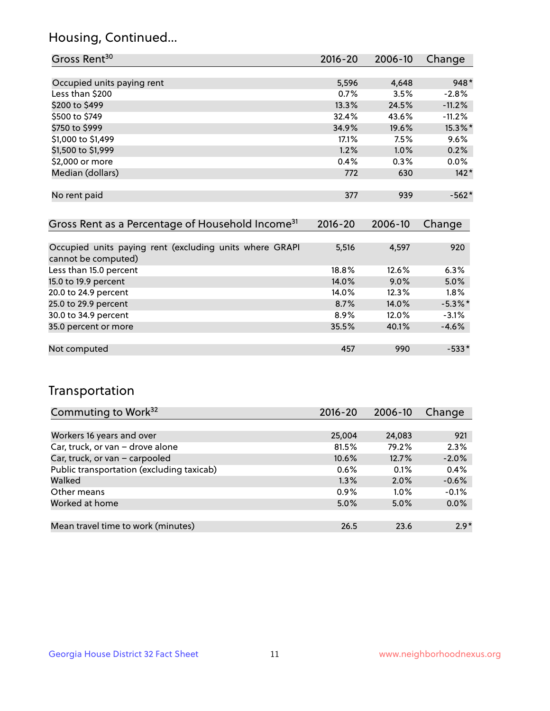## Housing, Continued...

| Gross Rent <sup>30</sup>                                     | 2016-20     | 2006-10 | Change   |
|--------------------------------------------------------------|-------------|---------|----------|
|                                                              |             |         |          |
| Occupied units paying rent                                   | 5,596       | 4,648   | $948*$   |
| Less than \$200                                              | 0.7%        | 3.5%    | $-2.8%$  |
| \$200 to \$499                                               | 13.3%       | 24.5%   | $-11.2%$ |
| \$500 to \$749                                               | 32.4%       | 43.6%   | $-11.2%$ |
| \$750 to \$999                                               | 34.9%       | 19.6%   | 15.3%*   |
| \$1,000 to \$1,499                                           | 17.1%       | 7.5%    | 9.6%     |
| \$1,500 to \$1,999                                           | 1.2%        | 1.0%    | 0.2%     |
| \$2,000 or more                                              | 0.4%        | 0.3%    | $0.0\%$  |
| Median (dollars)                                             | 772         | 630     | $142*$   |
|                                                              |             |         |          |
| No rent paid                                                 | 377         | 939     | $-562*$  |
|                                                              |             |         |          |
| Gross Rent as a Percentage of Household Income <sup>31</sup> | $2016 - 20$ | 2006-10 | Change   |
|                                                              |             |         |          |

| Occupied units paying rent (excluding units where GRAPI<br>cannot be computed) | 5,516   | 4,597   | 920        |
|--------------------------------------------------------------------------------|---------|---------|------------|
| Less than 15.0 percent                                                         | 18.8%   | 12.6%   | 6.3%       |
| 15.0 to 19.9 percent                                                           | 14.0%   | $9.0\%$ | 5.0%       |
| 20.0 to 24.9 percent                                                           | 14.0%   | 12.3%   | 1.8%       |
| 25.0 to 29.9 percent                                                           | 8.7%    | 14.0%   | $-5.3\%$ * |
| 30.0 to 34.9 percent                                                           | $8.9\%$ | 12.0%   | $-3.1%$    |
| 35.0 percent or more                                                           | 35.5%   | 40.1%   | $-4.6%$    |
|                                                                                |         |         |            |
| Not computed                                                                   | 457     | 990     | $-533*$    |

## Transportation

| Commuting to Work <sup>32</sup>           | $2016 - 20$ | 2006-10 | Change  |
|-------------------------------------------|-------------|---------|---------|
|                                           |             |         |         |
| Workers 16 years and over                 | 25,004      | 24,083  | 921     |
| Car, truck, or van - drove alone          | 81.5%       | 79.2%   | 2.3%    |
| Car, truck, or van - carpooled            | 10.6%       | 12.7%   | $-2.0%$ |
| Public transportation (excluding taxicab) | 0.6%        | 0.1%    | 0.4%    |
| Walked                                    | 1.3%        | 2.0%    | $-0.6%$ |
| Other means                               | 0.9%        | $1.0\%$ | $-0.1%$ |
| Worked at home                            | 5.0%        | 5.0%    | 0.0%    |
|                                           |             |         |         |
| Mean travel time to work (minutes)        | 26.5        | 23.6    | $2.9*$  |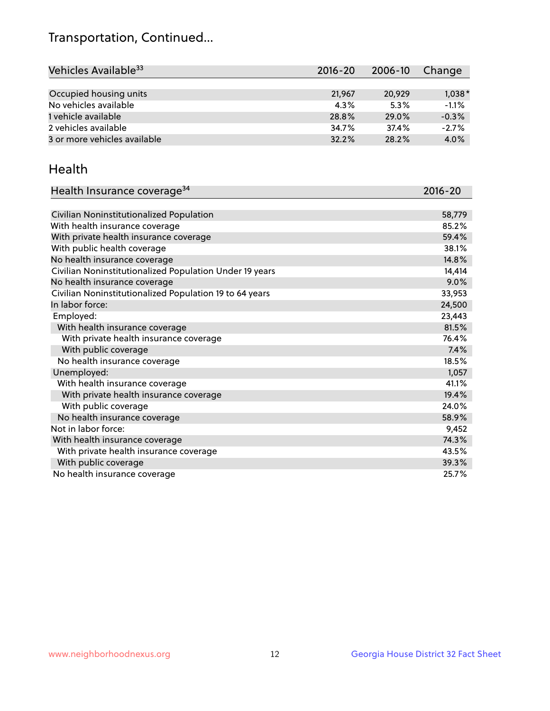## Transportation, Continued...

| Vehicles Available <sup>33</sup> | $2016 - 20$ | 2006-10 | Change   |
|----------------------------------|-------------|---------|----------|
|                                  |             |         |          |
| Occupied housing units           | 21,967      | 20,929  | $1,038*$ |
| No vehicles available            | $4.3\%$     | 5.3%    | $-1.1%$  |
| 1 vehicle available              | 28.8%       | 29.0%   | $-0.3%$  |
| 2 vehicles available             | 34.7%       | 37.4%   | $-2.7%$  |
| 3 or more vehicles available     | 32.2%       | 28.2%   | 4.0%     |

#### Health

| Health Insurance coverage <sup>34</sup>                 | 2016-20 |
|---------------------------------------------------------|---------|
|                                                         |         |
| Civilian Noninstitutionalized Population                | 58,779  |
| With health insurance coverage                          | 85.2%   |
| With private health insurance coverage                  | 59.4%   |
| With public health coverage                             | 38.1%   |
| No health insurance coverage                            | 14.8%   |
| Civilian Noninstitutionalized Population Under 19 years | 14,414  |
| No health insurance coverage                            | 9.0%    |
| Civilian Noninstitutionalized Population 19 to 64 years | 33,953  |
| In labor force:                                         | 24,500  |
| Employed:                                               | 23,443  |
| With health insurance coverage                          | 81.5%   |
| With private health insurance coverage                  | 76.4%   |
| With public coverage                                    | 7.4%    |
| No health insurance coverage                            | 18.5%   |
| Unemployed:                                             | 1,057   |
| With health insurance coverage                          | 41.1%   |
| With private health insurance coverage                  | 19.4%   |
| With public coverage                                    | 24.0%   |
| No health insurance coverage                            | 58.9%   |
| Not in labor force:                                     | 9,452   |
| With health insurance coverage                          | 74.3%   |
| With private health insurance coverage                  | 43.5%   |
| With public coverage                                    | 39.3%   |
| No health insurance coverage                            | 25.7%   |